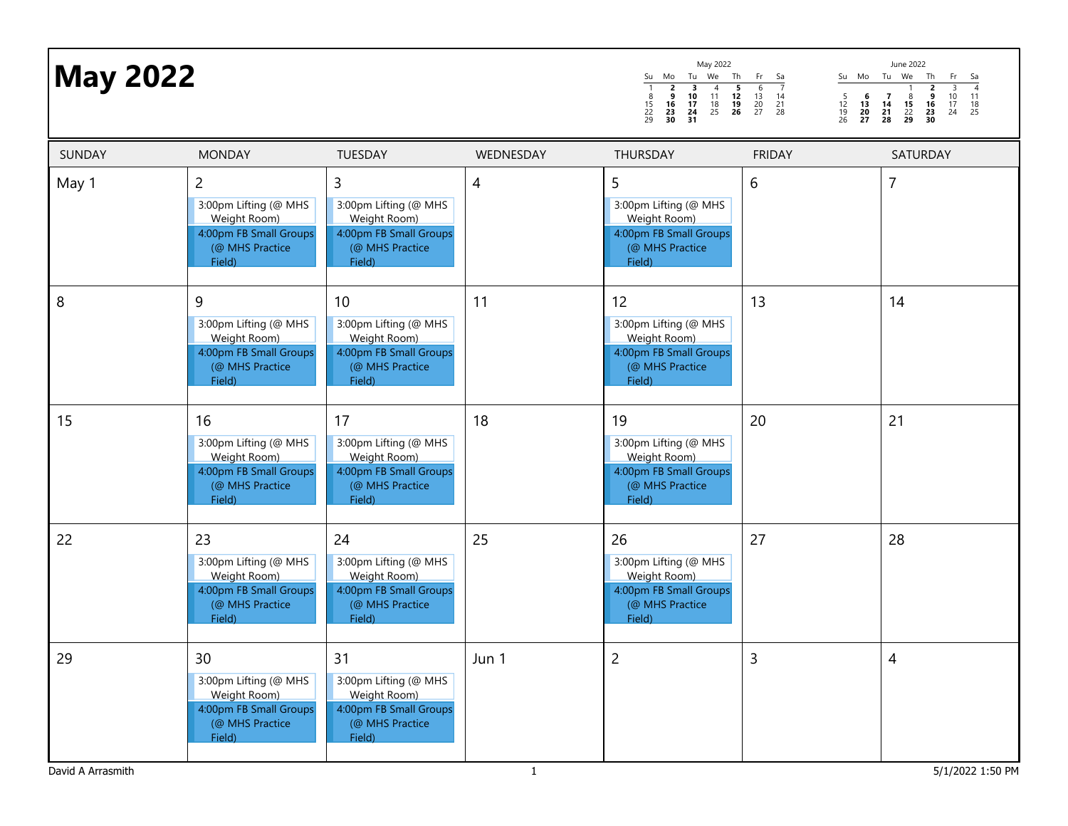| <b>May 2022</b> |                                                                                                                |                                                                                                    |           | May 2022<br>Mo<br>Tu We<br>Th<br>Su<br>$\overline{\mathbf{5}}$<br>$\overline{2}$<br>$\overline{\mathbf{3}}$<br>$\overline{4}$<br>9<br>10<br>11<br>12<br>$\begin{array}{c} 8 \\ 15 \\ 22 \\ 29 \end{array}$<br>16<br>17<br>$\frac{18}{25}$<br>$\frac{19}{26}$<br>23<br>24<br>30<br>31 | Fr<br>Su Mo Tu We<br>- Sa<br>$\overline{7}$<br>6<br>$\frac{13}{20}$<br>$\frac{5}{12}$<br>$\frac{12}{19}$<br>26<br>6<br>14<br>$\frac{21}{28}$<br>$\frac{13}{20}$<br>27 | June 2022<br>Th<br>Fr<br>Sa<br>$\overline{4}$<br>$\overline{3}$<br>$\overline{2}$<br>$\overline{7}$<br>ق<br>16<br>23<br>$\frac{10}{17}$<br>24<br>11<br>$\begin{array}{c}\n 8 \\  15 \\  22 \\  29\n\end{array}$<br>$\frac{18}{25}$<br>$\frac{14}{21}$<br>30<br>28 |
|-----------------|----------------------------------------------------------------------------------------------------------------|----------------------------------------------------------------------------------------------------|-----------|--------------------------------------------------------------------------------------------------------------------------------------------------------------------------------------------------------------------------------------------------------------------------------------|-----------------------------------------------------------------------------------------------------------------------------------------------------------------------|-------------------------------------------------------------------------------------------------------------------------------------------------------------------------------------------------------------------------------------------------------------------|
| SUNDAY          | <b>MONDAY</b>                                                                                                  | TUESDAY                                                                                            | WEDNESDAY | THURSDAY                                                                                                                                                                                                                                                                             | <b>FRIDAY</b>                                                                                                                                                         | SATURDAY                                                                                                                                                                                                                                                          |
| May 1           | $\overline{2}$<br>3:00pm Lifting (@ MHS<br>Weight Room)<br>4:00pm FB Small Groups<br>(@ MHS Practice<br>Field) | 3<br>3:00pm Lifting (@ MHS<br>Weight Room)<br>4:00pm FB Small Groups<br>(@ MHS Practice<br>Field)  | 4         | 5<br>3:00pm Lifting (@ MHS<br>Weight Room)<br>4:00pm FB Small Groups<br>(@ MHS Practice<br>Field)                                                                                                                                                                                    | 6                                                                                                                                                                     | $\overline{7}$                                                                                                                                                                                                                                                    |
| 8               | 9<br>3:00pm Lifting (@ MHS<br>Weight Room)<br>4:00pm FB Small Groups<br>(@ MHS Practice<br>Field)              | 10<br>3:00pm Lifting (@ MHS<br>Weight Room)<br>4:00pm FB Small Groups<br>(@ MHS Practice<br>Field) | 11        | 12<br>3:00pm Lifting (@ MHS<br>Weight Room)<br>4:00pm FB Small Groups<br>(@ MHS Practice<br>Field)                                                                                                                                                                                   | 13                                                                                                                                                                    | 14                                                                                                                                                                                                                                                                |
| 15              | 16<br>3:00pm Lifting (@ MHS<br>Weight Room)<br>4:00pm FB Small Groups<br>(@ MHS Practice<br>Field)             | 17<br>3:00pm Lifting (@ MHS<br>Weight Room)<br>4:00pm FB Small Groups<br>(@ MHS Practice<br>Field) | 18        | 19<br>3:00pm Lifting (@ MHS<br>Weight Room)<br>4:00pm FB Small Groups<br>(@ MHS Practice<br>Field)                                                                                                                                                                                   | 20                                                                                                                                                                    | 21                                                                                                                                                                                                                                                                |
| 22              | 23<br>3:00pm Lifting (@ MHS<br>Weight Room)<br>4:00pm FB Small Groups<br>(@ MHS Practice<br>Field)             | 24<br>3:00pm Lifting (@ MHS<br>Weight Room)<br>4:00pm FB Small Groups<br>(@ MHS Practice<br>Field) | 25        | 26<br>3:00pm Lifting (@ MHS<br>Weight Room)<br>4:00pm FB Small Groups<br>(@ MHS Practice<br>Field)                                                                                                                                                                                   | 27                                                                                                                                                                    | 28                                                                                                                                                                                                                                                                |
| 29              | 30<br>3:00pm Lifting (@ MHS<br>Weight Room)<br>4:00pm FB Small Groups<br>(@ MHS Practice<br>Field)             | 31<br>3:00pm Lifting (@ MHS<br>Weight Room)<br>4:00pm FB Small Groups<br>(@ MHS Practice<br>Field) | Jun 1     | $\overline{c}$                                                                                                                                                                                                                                                                       | 3                                                                                                                                                                     | $\overline{4}$                                                                                                                                                                                                                                                    |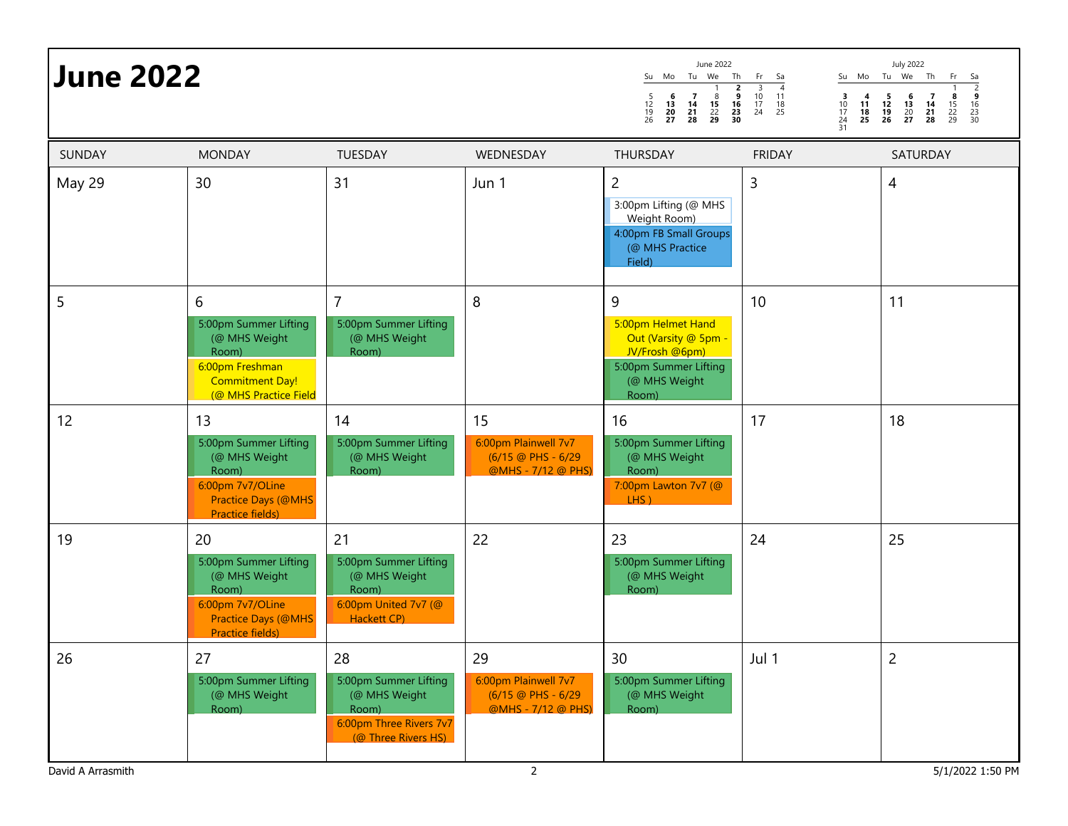| <b>June 2022</b>                 |                                                                                                                              |                                                                                                         |                                                                        | June 2022<br>Su Mo<br>Tu<br>We<br>Th<br>$\begin{array}{c}\n2 \\ 9 \\ 16 \\ 23 \\ 30\n\end{array}$<br>6<br>$\overline{7}$<br>$\frac{8}{15}$<br>$\frac{22}{29}$<br>$\frac{5}{12}$<br>$\frac{12}{19}$<br>26<br>$\begin{array}{c} 13 \\ 20 \\ 27 \end{array}$<br>$\frac{14}{21}$<br>28 | Su Mo<br>Fr<br>Sa<br>$\frac{3}{10}$<br>$\frac{17}{24}$<br>$\overline{4}$<br>11<br>$\begin{array}{c} \mathbf{3} \\ 10 \\ 17 \end{array}$<br>$\begin{array}{c} 4 \\ 11 \\ 18 \end{array}$<br>$\begin{array}{c} 18 \\ 25 \end{array}$<br>24<br>25<br>31 | <b>July 2022</b><br>Tu We Th<br>Fr<br>$\begin{array}{r} 5a \\ \hline 2 \\ 9 \\ 16 \\ 23 \\ 30 \end{array}$<br>$\begin{array}{c} 5 \\ 12 \\ 19 \end{array}$<br>$\begin{array}{c}7\\14\\21\\28\end{array}$<br>$\begin{array}{c} 6 \\ 13 \\ 20 \\ 27 \end{array}$<br>$\frac{8}{15}$<br>22<br>29<br>26 |
|----------------------------------|------------------------------------------------------------------------------------------------------------------------------|---------------------------------------------------------------------------------------------------------|------------------------------------------------------------------------|------------------------------------------------------------------------------------------------------------------------------------------------------------------------------------------------------------------------------------------------------------------------------------|------------------------------------------------------------------------------------------------------------------------------------------------------------------------------------------------------------------------------------------------------|----------------------------------------------------------------------------------------------------------------------------------------------------------------------------------------------------------------------------------------------------------------------------------------------------|
| SUNDAY                           | <b>MONDAY</b>                                                                                                                | TUESDAY                                                                                                 | WEDNESDAY                                                              | THURSDAY                                                                                                                                                                                                                                                                           | <b>FRIDAY</b>                                                                                                                                                                                                                                        | SATURDAY                                                                                                                                                                                                                                                                                           |
| May 29                           | 30                                                                                                                           | 31                                                                                                      | Jun 1                                                                  | $\overline{c}$<br>3:00pm Lifting (@ MHS<br>Weight Room)<br>4:00pm FB Small Groups<br>(@ MHS Practice<br>Field)                                                                                                                                                                     | 3                                                                                                                                                                                                                                                    | $\overline{4}$                                                                                                                                                                                                                                                                                     |
| 5                                | 6<br>5:00pm Summer Lifting<br>(@ MHS Weight<br>Room)<br>6:00pm Freshman<br><b>Commitment Day!</b><br>(@ MHS Practice Field   | $\overline{7}$<br>5:00pm Summer Lifting<br>(@ MHS Weight<br>Room)                                       | 8                                                                      | 9<br>5:00pm Helmet Hand<br>Out (Varsity @ 5pm -<br>JV/Frosh @6pm)<br>5:00pm Summer Lifting<br>(@ MHS Weight<br>Room)                                                                                                                                                               | 10                                                                                                                                                                                                                                                   | 11                                                                                                                                                                                                                                                                                                 |
| 12                               | 13<br>5:00pm Summer Lifting<br>(@ MHS Weight<br>Room)<br>6:00pm 7v7/OLine<br><b>Practice Days (@MHS)</b><br>Practice fields) | 14<br>5:00pm Summer Lifting<br>(@ MHS Weight<br>Room)                                                   | 15<br>6:00pm Plainwell 7v7<br>(6/15 @ PHS - 6/29<br>@MHS - 7/12 @ PHS) | 16<br>5:00pm Summer Lifting<br>(@ MHS Weight<br>Room)<br>7:00pm Lawton 7v7 (@<br>$LHS$ )                                                                                                                                                                                           | 17                                                                                                                                                                                                                                                   | 18                                                                                                                                                                                                                                                                                                 |
| 19                               | 20<br>5:00pm Summer Lifting<br>(@ MHS Weight<br>Room)<br>6:00pm 7v7/OLine<br><b>Practice Days (@MHS)</b><br>Practice fields) | 21<br>5:00pm Summer Lifting<br>(@ MHS Weight<br>Room)<br>6:00pm United 7v7 (@<br>Hackett CP)            | 22                                                                     | 23<br>5:00pm Summer Lifting<br>(@ MHS Weight<br>Room)                                                                                                                                                                                                                              | 24                                                                                                                                                                                                                                                   | 25                                                                                                                                                                                                                                                                                                 |
| 26                               | 27<br>5:00pm Summer Lifting<br>(@ MHS Weight<br>Room)                                                                        | 28<br>5:00pm Summer Lifting<br>(@ MHS Weight<br>Room)<br>6:00pm Three Rivers 7v7<br>(@ Three Rivers HS) | 29<br>6:00pm Plainwell 7v7<br>(6/15 @ PHS - 6/29<br>@MHS - 7/12 @ PHS) | 30<br>5:00pm Summer Lifting<br>(@ MHS Weight<br>Room)                                                                                                                                                                                                                              | Jul 1                                                                                                                                                                                                                                                | $\overline{2}$                                                                                                                                                                                                                                                                                     |
| $2^{\circ}$<br>David A Arrasmith |                                                                                                                              |                                                                                                         |                                                                        |                                                                                                                                                                                                                                                                                    |                                                                                                                                                                                                                                                      | 5/1/2022 1:50 PM                                                                                                                                                                                                                                                                                   |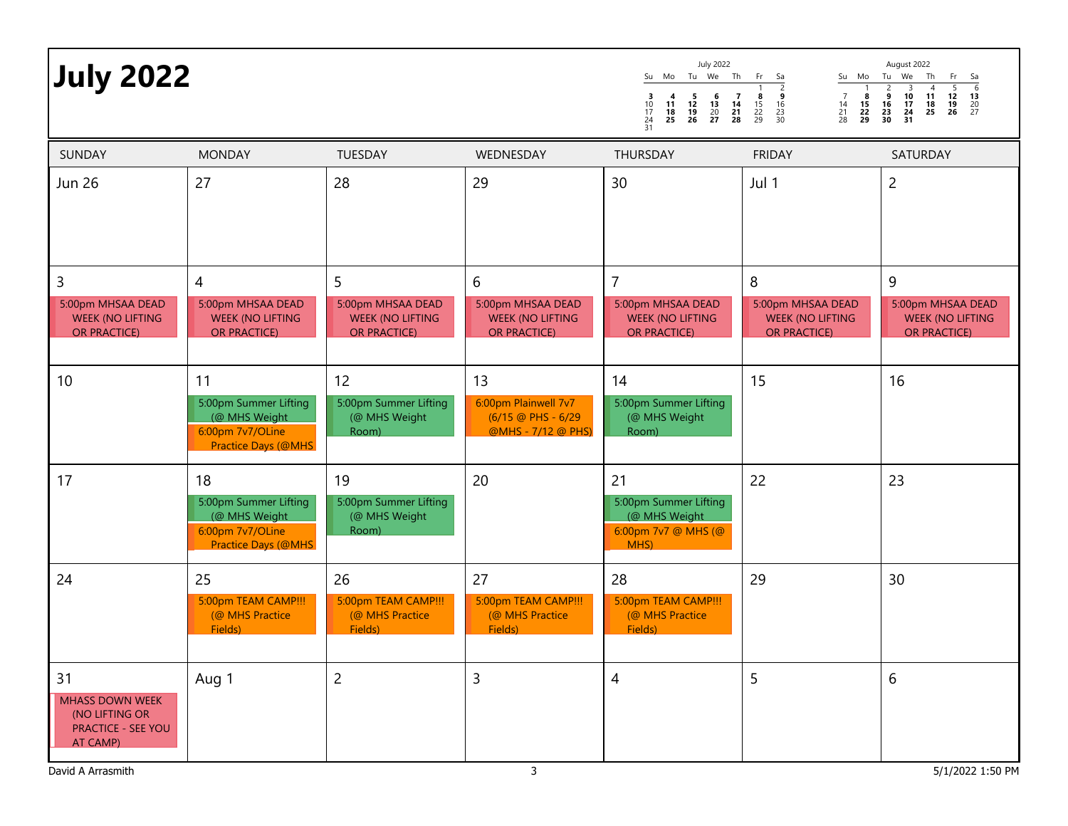| <b>July 2022</b>                                                                 |                                                                                                 |                                                                    |                                                                               | July 2022<br>Su Mo Tu We Th Fr Sa<br>$\begin{array}{c} 5 \\ 12 \\ 19 \\ 26 \end{array}$<br>$\begin{array}{c} 6 \\ 13 \\ 20 \\ 27 \end{array}$<br>$\begin{array}{c}7\\14\\21\\28\end{array}$<br>$\frac{3}{10}$<br>$\frac{17}{24}$<br>$\frac{24}{31}$<br>$\begin{array}{c} 11 \\ 18 \end{array}$<br>25 | Su Mo Tu We<br>ۊ<br>$\overline{7}$<br>$\frac{8}{15}$<br>22<br>29<br>$\frac{8}{15}$<br>22<br>29<br>$\frac{14}{21}$<br>28<br>$\begin{array}{c} 16 \\ 23 \\ 30 \end{array}$ | August 2022<br>Th<br>Fr<br>Sa<br>$\frac{6}{13}$<br>$\frac{13}{20}$<br>$\frac{20}{27}$<br>$\frac{10}{17}$<br>$\frac{24}{31}$<br>$\frac{11}{18}$<br>$\frac{18}{25}$<br>$\frac{12}{19}$<br>26<br>$\begin{array}{c} 16 \\ 23 \\ 30 \end{array}$ |
|----------------------------------------------------------------------------------|-------------------------------------------------------------------------------------------------|--------------------------------------------------------------------|-------------------------------------------------------------------------------|------------------------------------------------------------------------------------------------------------------------------------------------------------------------------------------------------------------------------------------------------------------------------------------------------|--------------------------------------------------------------------------------------------------------------------------------------------------------------------------|---------------------------------------------------------------------------------------------------------------------------------------------------------------------------------------------------------------------------------------------|
| SUNDAY                                                                           | <b>MONDAY</b>                                                                                   | TUESDAY                                                            | WEDNESDAY                                                                     | THURSDAY                                                                                                                                                                                                                                                                                             | <b>FRIDAY</b>                                                                                                                                                            | SATURDAY                                                                                                                                                                                                                                    |
| <b>Jun 26</b>                                                                    | 27                                                                                              | 28                                                                 | 29                                                                            | 30                                                                                                                                                                                                                                                                                                   | Jul 1                                                                                                                                                                    | $\overline{2}$                                                                                                                                                                                                                              |
| 3                                                                                | $\overline{4}$                                                                                  | 5                                                                  | 6                                                                             | $\overline{7}$                                                                                                                                                                                                                                                                                       | 8                                                                                                                                                                        | 9                                                                                                                                                                                                                                           |
| 5:00pm MHSAA DEAD<br><b>WEEK (NO LIFTING</b><br><b>OR PRACTICE)</b>              | 5:00pm MHSAA DEAD<br><b>WEEK (NO LIFTING</b><br><b>OR PRACTICE)</b>                             | 5:00pm MHSAA DEAD<br><b>WEEK (NO LIFTING</b><br><b>OR PRACTICE</b> | 5:00pm MHSAA DEAD<br><b>WEEK (NO LIFTING</b><br><b>OR PRACTICE)</b>           | 5:00pm MHSAA DEAD<br><b>WEEK (NO LIFTING</b><br><b>OR PRACTICE)</b>                                                                                                                                                                                                                                  | 5:00pm MHSAA DEAD<br><b>WEEK (NO LIFTING</b><br><b>OR PRACTICE)</b>                                                                                                      | 5:00pm MHSAA DEAD<br><b>WEEK (NO LIFTING</b><br><b>OR PRACTICE)</b>                                                                                                                                                                         |
| 10                                                                               | 11<br>5:00pm Summer Lifting<br>(@ MHS Weight<br>6:00pm 7v7/OLine<br>Practice Days (@MHS         | 12<br>5:00pm Summer Lifting<br>(@ MHS Weight<br>Room)              | 13<br>6:00pm Plainwell 7v7<br>$(6/15 \circ P$ HS - 6/29<br>@MHS - 7/12 @ PHS) | 14<br>5:00pm Summer Lifting<br>(@ MHS Weight<br>Room)                                                                                                                                                                                                                                                | 15                                                                                                                                                                       | 16                                                                                                                                                                                                                                          |
| 17                                                                               | 18<br>5:00pm Summer Lifting<br>(@ MHS Weight<br>6:00pm 7v7/OLine<br><b>Practice Days (@MHS)</b> | 19<br>5:00pm Summer Lifting<br>(@ MHS Weight<br>Room)              | 20                                                                            | 21<br>5:00pm Summer Lifting<br>(@ MHS Weight<br>6:00pm 7v7 @ MHS (@<br>MHS)                                                                                                                                                                                                                          | 22                                                                                                                                                                       | 23                                                                                                                                                                                                                                          |
| 24                                                                               | 25<br>5:00pm TEAM CAMP !!!<br>(@ MHS Practice<br>Fields)                                        | 26<br>5:00pm TEAM CAMP !!!<br>(@ MHS Practice<br>Fields)           | 27<br>5:00pm TEAM CAMP !!!<br>(@ MHS Practice<br>Fields)                      | 28<br>5:00pm TEAM CAMP !!!<br>(@ MHS Practice<br>Fields)                                                                                                                                                                                                                                             | 29                                                                                                                                                                       | 30                                                                                                                                                                                                                                          |
| 31<br>MHASS DOWN WEEK<br>(NO LIFTING OR<br><b>PRACTICE - SEE YOU</b><br>AT CAMP) | Aug 1                                                                                           | $\overline{c}$                                                     | $\overline{3}$                                                                | 4                                                                                                                                                                                                                                                                                                    | 5                                                                                                                                                                        | 6                                                                                                                                                                                                                                           |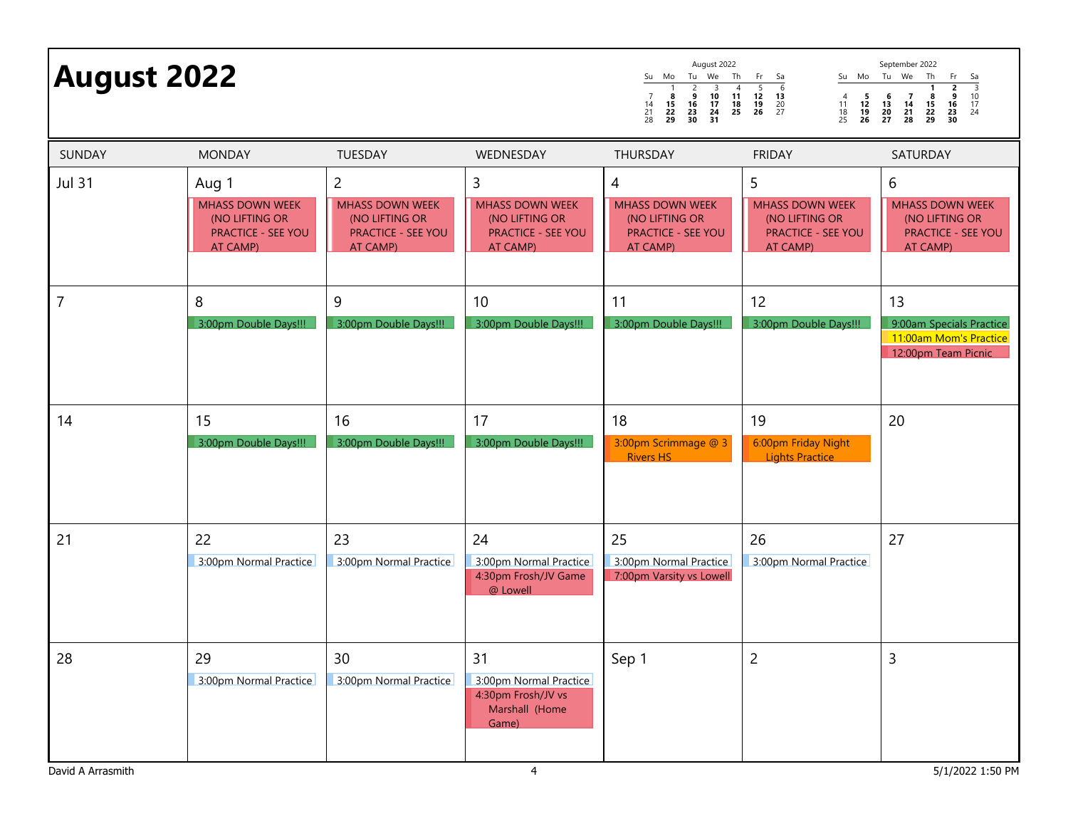| <b>August 2022</b>      |                                                                                            |                                                                                                     |                                                                                                 | August 2022<br>September 2022<br>Tu We<br>Th<br>Su Mo Tu We<br>Th<br>Su Mo<br>Fr<br>$rac{5a}{3}$<br>10<br>17<br>24<br>Sa<br>Fr<br>$\overline{4}$<br>$\frac{5}{12}$<br>$\frac{12}{19}$<br>26<br>6<br>$\frac{2}{9}$<br>$\frac{16}{23}$<br>30<br>$\frac{2}{9}$<br>$\begin{array}{c}\n3 \\ 10\n\end{array}$<br>$\begin{array}{c} 11 \\ 18 \\ 25 \end{array}$<br>8<br>13<br>$\frac{5}{12}$<br>$\frac{12}{19}$<br>26<br>$\begin{array}{c} 6 \\ 13 \\ 20 \\ 27 \end{array}$<br>$\begin{array}{c} 7 \\ 14 \\ 21 \\ 28 \end{array}$<br>$\begin{array}{c} 4 \\ 11 \\ 18 \\ 25 \end{array}$<br>$\begin{array}{c}7\\14\\21\\28\end{array}$<br>8<br>$\frac{15}{22}$<br>29<br>$\frac{16}{23}$<br>30<br>$\begin{array}{c} 17 \\ 24 \\ 31 \end{array}$<br>$\frac{15}{22}$<br>22<br>29<br>$\frac{20}{27}$ |                                                                                        |                                                                                        |
|-------------------------|--------------------------------------------------------------------------------------------|-----------------------------------------------------------------------------------------------------|-------------------------------------------------------------------------------------------------|------------------------------------------------------------------------------------------------------------------------------------------------------------------------------------------------------------------------------------------------------------------------------------------------------------------------------------------------------------------------------------------------------------------------------------------------------------------------------------------------------------------------------------------------------------------------------------------------------------------------------------------------------------------------------------------------------------------------------------------------------------------------------------------|----------------------------------------------------------------------------------------|----------------------------------------------------------------------------------------|
| <b>SUNDAY</b>           | <b>MONDAY</b>                                                                              | TUESDAY                                                                                             | WEDNESDAY                                                                                       | THURSDAY                                                                                                                                                                                                                                                                                                                                                                                                                                                                                                                                                                                                                                                                                                                                                                                 | <b>FRIDAY</b>                                                                          | SATURDAY                                                                               |
| <b>Jul 31</b>           | Aug 1<br><b>MHASS DOWN WEEK</b><br>(NO LIFTING OR<br><b>PRACTICE - SEE YOU</b><br>AT CAMP) | $\overline{c}$<br><b>MHASS DOWN WEEK</b><br>(NO LIFTING OR<br><b>PRACTICE - SEE YOU</b><br>AT CAMP) | 3<br><b>MHASS DOWN WEEK</b><br>(NO LIFTING OR<br><b>PRACTICE - SEE YOU</b><br>AT CAMP)          | 4<br><b>MHASS DOWN WEEK</b><br>(NO LIFTING OR<br><b>PRACTICE - SEE YOU</b><br>AT CAMP)                                                                                                                                                                                                                                                                                                                                                                                                                                                                                                                                                                                                                                                                                                   | 5<br><b>MHASS DOWN WEEK</b><br>(NO LIFTING OR<br><b>PRACTICE - SEE YOU</b><br>AT CAMP) | 6<br><b>MHASS DOWN WEEK</b><br>(NO LIFTING OR<br><b>PRACTICE - SEE YOU</b><br>AT CAMP) |
| $\overline{7}$          | 8<br>3:00pm Double Days!!!                                                                 | 9<br>3:00pm Double Days!!!                                                                          | 10<br>3:00pm Double Days!!!                                                                     | 11<br>3:00pm Double Days!!!                                                                                                                                                                                                                                                                                                                                                                                                                                                                                                                                                                                                                                                                                                                                                              | 12<br>3:00pm Double Days!!!                                                            | 13<br>9:00am Specials Practice<br>11:00am Mom's Practice<br>12:00pm Team Picnic        |
| 14                      | 15<br>3:00pm Double Days!!!                                                                | 16<br>3:00pm Double Days!!!                                                                         | 17<br>3:00pm Double Days!!!                                                                     | 18<br>3:00pm Scrimmage @ 3<br><b>Rivers HS</b>                                                                                                                                                                                                                                                                                                                                                                                                                                                                                                                                                                                                                                                                                                                                           | 19<br>6:00pm Friday Night<br><b>Lights Practice</b>                                    | 20                                                                                     |
| 21                      | 22<br>3:00pm Normal Practice                                                               | 23<br>3:00pm Normal Practice                                                                        | 24<br>3:00pm Normal Practice<br>4:30pm Frosh/JV Game<br>@ Lowell                                | 25<br>3:00pm Normal Practice<br>7:00pm Varsity vs Lowell                                                                                                                                                                                                                                                                                                                                                                                                                                                                                                                                                                                                                                                                                                                                 | 26<br>3:00pm Normal Practice                                                           | 27                                                                                     |
| 28<br>David A Arrasmith | 29<br>3:00pm Normal Practice                                                               | 30<br>3:00pm Normal Practice                                                                        | 31<br>3:00pm Normal Practice<br>4:30pm Frosh/JV vs<br>Marshall (Home<br>Game)<br>$\overline{4}$ | Sep 1                                                                                                                                                                                                                                                                                                                                                                                                                                                                                                                                                                                                                                                                                                                                                                                    | $\overline{2}$                                                                         | 3<br>5/1/2022 1:50 PM                                                                  |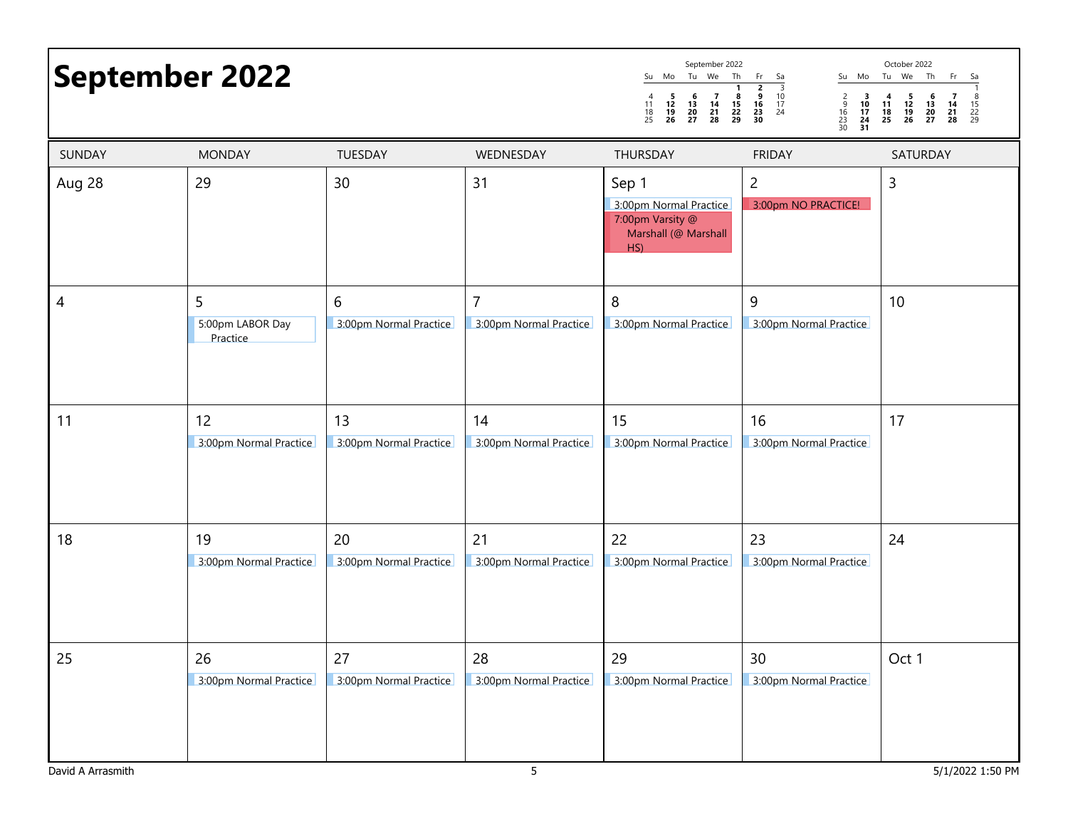|        | <b>September 2022</b>             |                              |                                          | September 2022<br>Tu We<br>Su Mo<br>Th<br>1<br>- 5<br>$\begin{array}{c} 6 \\ 13 \\ 20 \\ 27 \end{array}$<br>$\begin{array}{c}7\\14\\21\\28\end{array}$<br>$\begin{array}{c} 8 \\ 15 \\ 22 \\ 29 \end{array}$<br>$\begin{array}{c} 4 \\ 11 \\ 18 \\ 25 \end{array}$<br>$\frac{12}{19}$<br>26 | Su Mo<br>Fr<br>Sa<br>$\begin{array}{c}\n2 \\ \hline\n9 \\ 16 \\ 23 \\ 30\n\end{array}$<br>$\frac{3}{10}$<br>$\frac{17}{24}$<br>$\begin{array}{c} 2 \\ 9 \\ 16 \\ 23 \\ 30 \end{array}$<br>$\begin{array}{c} 3 \\ 10 \\ 17 \\ 24 \\ 31 \end{array}$ | October 2022<br>Tu We<br>Th<br>Fr<br>Sa<br>$\frac{5}{12}$<br>$\frac{12}{19}$<br>26<br>$\begin{array}{c} 6 \\ 13 \\ 20 \\ 27 \end{array}$<br>$\begin{array}{c} 7 \\ 14 \\ 21 \\ 28 \end{array}$<br>$\frac{8}{15}$<br>22<br>29<br>4<br>$\frac{11}{18}$<br>25 |
|--------|-----------------------------------|------------------------------|------------------------------------------|---------------------------------------------------------------------------------------------------------------------------------------------------------------------------------------------------------------------------------------------------------------------------------------------|----------------------------------------------------------------------------------------------------------------------------------------------------------------------------------------------------------------------------------------------------|------------------------------------------------------------------------------------------------------------------------------------------------------------------------------------------------------------------------------------------------------------|
| SUNDAY | <b>MONDAY</b>                     | TUESDAY                      | WEDNESDAY                                | THURSDAY                                                                                                                                                                                                                                                                                    | <b>FRIDAY</b>                                                                                                                                                                                                                                      | SATURDAY                                                                                                                                                                                                                                                   |
| Aug 28 | 29                                | 30                           | 31                                       | Sep 1<br>3:00pm Normal Practice<br>7:00pm Varsity @<br>Marshall (@ Marshall<br>HS)                                                                                                                                                                                                          | $\overline{2}$<br>3:00pm NO PRACTICE!                                                                                                                                                                                                              | $\mathsf{3}$                                                                                                                                                                                                                                               |
| 4      | 5<br>5:00pm LABOR Day<br>Practice | 6<br>3:00pm Normal Practice  | $\overline{7}$<br>3:00pm Normal Practice | 8<br>3:00pm Normal Practice                                                                                                                                                                                                                                                                 | 9<br>3:00pm Normal Practice                                                                                                                                                                                                                        | 10                                                                                                                                                                                                                                                         |
| 11     | 12<br>3:00pm Normal Practice      | 13<br>3:00pm Normal Practice | 14<br>3:00pm Normal Practice             | 15<br>3:00pm Normal Practice                                                                                                                                                                                                                                                                | 16<br>3:00pm Normal Practice                                                                                                                                                                                                                       | 17                                                                                                                                                                                                                                                         |
| 18     | 19<br>3:00pm Normal Practice      | 20<br>3:00pm Normal Practice | 21<br>3:00pm Normal Practice             | 22<br>3:00pm Normal Practice                                                                                                                                                                                                                                                                | 23<br>3:00pm Normal Practice                                                                                                                                                                                                                       | 24                                                                                                                                                                                                                                                         |
| 25     | 26<br>3:00pm Normal Practice      | 27<br>3:00pm Normal Practice | 28<br>3:00pm Normal Practice             | 29<br>3:00pm Normal Practice                                                                                                                                                                                                                                                                | 30<br>3:00pm Normal Practice                                                                                                                                                                                                                       | Oct 1                                                                                                                                                                                                                                                      |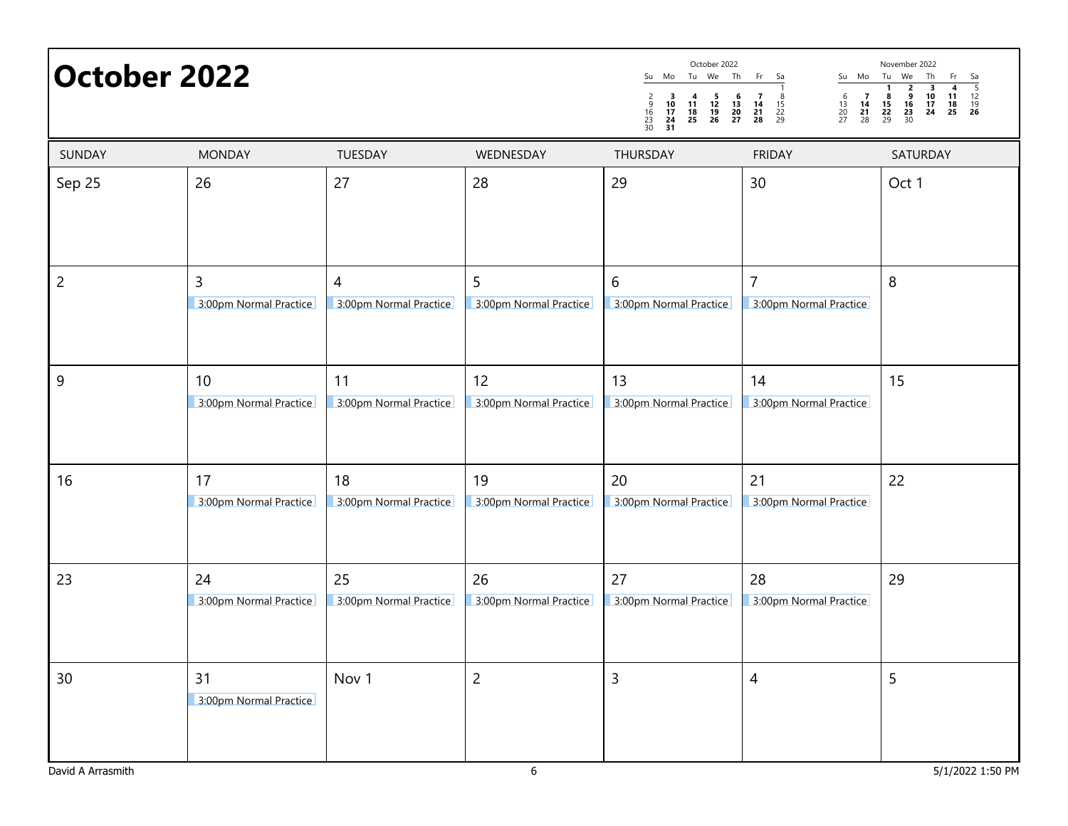| <b>October 2022</b> |                              |                              |                              | October 2022<br>Tu We<br>Th<br>Su<br>Mo<br>$\frac{2}{9}$<br>$\frac{16}{23}$<br>$\frac{23}{30}$<br>$\begin{array}{c} 3 \\ 10 \\ 17 \end{array}$<br>-5<br>6<br>4<br>11<br>$\frac{13}{20}$<br>27<br>$\frac{12}{19}$<br>26<br>$\begin{array}{c} 18 \\ 25 \end{array}$<br>24<br>31 | Fr<br>Sa<br>Mo<br>Su<br>$\begin{array}{c} 6 \\ 13 \\ 20 \\ 27 \end{array}$<br>$\begin{array}{c} 8 \\ 15 \\ 22 \\ 29 \end{array}$<br>$\begin{array}{c} 7 \\ 14 \\ 21 \\ 28 \end{array}$<br>- 7<br>$\frac{14}{21}$<br>28 | November 2022<br>Tu We<br>Th<br>Fr<br>Sa<br>$\frac{5}{12}$<br>$\frac{12}{19}$<br><b>26</b><br>$\overline{2}$<br>3<br>$\frac{6}{16}$<br>$\frac{16}{23}$<br>$\frac{23}{30}$<br>$\frac{10}{17}$<br>24<br>8<br>11<br>$\begin{array}{c} 15 \\ 22 \\ 29 \end{array}$<br>$\frac{18}{25}$ |
|---------------------|------------------------------|------------------------------|------------------------------|-------------------------------------------------------------------------------------------------------------------------------------------------------------------------------------------------------------------------------------------------------------------------------|------------------------------------------------------------------------------------------------------------------------------------------------------------------------------------------------------------------------|-----------------------------------------------------------------------------------------------------------------------------------------------------------------------------------------------------------------------------------------------------------------------------------|
| SUNDAY              | <b>MONDAY</b>                | TUESDAY                      | WEDNESDAY                    | THURSDAY                                                                                                                                                                                                                                                                      | <b>FRIDAY</b>                                                                                                                                                                                                          | SATURDAY                                                                                                                                                                                                                                                                          |
| Sep 25              | 26                           | 27                           | 28                           | 29                                                                                                                                                                                                                                                                            | 30                                                                                                                                                                                                                     | Oct 1                                                                                                                                                                                                                                                                             |
| $\overline{2}$      | 3<br>3:00pm Normal Practice  | 4<br>3:00pm Normal Practice  | 5<br>3:00pm Normal Practice  | 6<br>3:00pm Normal Practice                                                                                                                                                                                                                                                   | $\overline{7}$<br>3:00pm Normal Practice                                                                                                                                                                               | 8                                                                                                                                                                                                                                                                                 |
| $\overline{9}$      | 10<br>3:00pm Normal Practice | 11<br>3:00pm Normal Practice | 12<br>3:00pm Normal Practice | 13<br>3:00pm Normal Practice                                                                                                                                                                                                                                                  | 14<br>3:00pm Normal Practice                                                                                                                                                                                           | 15                                                                                                                                                                                                                                                                                |
| 16                  | 17<br>3:00pm Normal Practice | 18<br>3:00pm Normal Practice | 19<br>3:00pm Normal Practice | 20<br>3:00pm Normal Practice                                                                                                                                                                                                                                                  | 21<br>3:00pm Normal Practice                                                                                                                                                                                           | 22                                                                                                                                                                                                                                                                                |
| 23                  | 24<br>3:00pm Normal Practice | 25<br>3:00pm Normal Practice | 26<br>3:00pm Normal Practice | 27<br>3:00pm Normal Practice                                                                                                                                                                                                                                                  | 28<br>3:00pm Normal Practice                                                                                                                                                                                           | 29                                                                                                                                                                                                                                                                                |
| 30                  | 31<br>3:00pm Normal Practice | Nov <sub>1</sub>             | $\overline{2}$               | 3                                                                                                                                                                                                                                                                             | 4                                                                                                                                                                                                                      | 5                                                                                                                                                                                                                                                                                 |